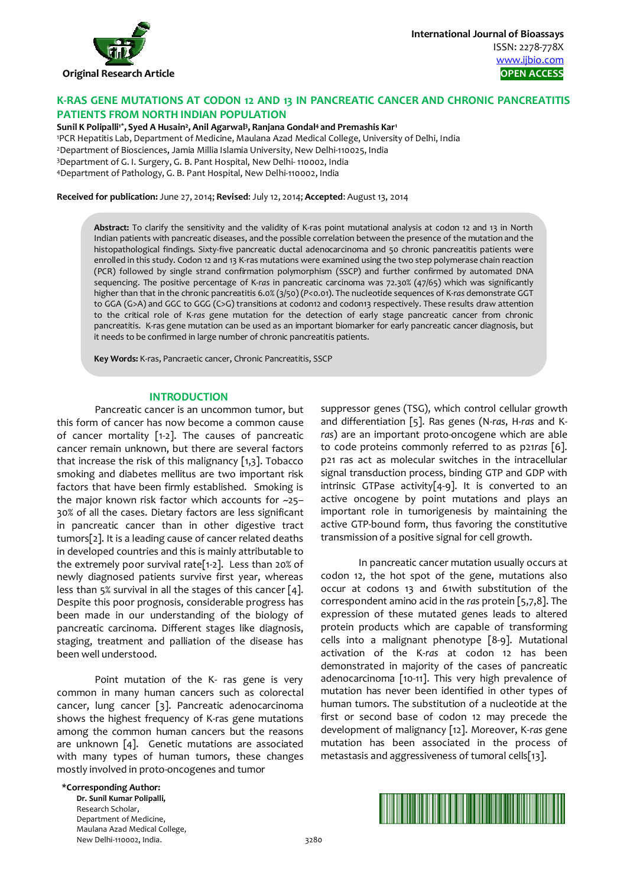

**International Journal of Bioassays** ISSN: 2278-778X www.ijbio.com

# **K-RAS GENE MUTATIONS AT CODON 12 AND 13 IN PANCREATIC CANCER AND CHRONIC PANCREATITIS PATIENTS FROM NORTH INDIAN POPULATION**

**Sunil K Polipalli1\*, Syed A Husain2, Anil Agarwal3, Ranjana Gondal4 and Premashis Kar1** 

1 PCR Hepatitis Lab, Department of Medicine, Maulana Azad Medical College, University of Delhi, India 2Department of Biosciences, Jamia Millia Islamia University, New Delhi-110025, India 3Department of G. I. Surgery, G. B. Pant Hospital, New Delhi- 110002, India 4Department of Pathology, G. B. Pant Hospital, New Delhi-110002, India

**Received for publication:** June 27, 2014; **Revised**: July 12, 2014; **Accepted**: August 13, 2014

**Abstract:** To clarify the sensitivity and the validity of K-ras point mutational analysis at codon 12 and 13 in North Indian patients with pancreatic diseases, and the possible correlation between the presence of the mutation and the histopathological findings. Sixty-five pancreatic ductal adenocarcinoma and 50 chronic pancreatitis patients were enrolled in this study. Codon 12 and 13 K-ras mutations were examined using the two step polymerase chain reaction (PCR) followed by single strand confirmation polymorphism (SSCP) and further confirmed by automated DNA sequencing. The positive percentage of K-*ras* in pancreatic carcinoma was 72.30% (47/65) which was significantly higher than that in the chronic pancreatitis 6.0% (3/50) (*P*<0.01). The nucleotide sequences of K-*ras* demonstrate GGT to GGA (G>A) and GGC to GGG (C>G) transitions at codon12 and codon13 respectively. These results draw attention to the critical role of K-*ras* gene mutation for the detection of early stage pancreatic cancer from chronic pancreatitis. K-ras gene mutation can be used as an important biomarker for early pancreatic cancer diagnosis, but it needs to be confirmed in large number of chronic pancreatitis patients.

**Key Words:** K-ras, Pancraetic cancer, Chronic Pancreatitis, SSCP

### **INTRODUCTION**

Pancreatic cancer is an uncommon tumor, but this form of cancer has now become a common cause of cancer mortality [1-2]. The causes of pancreatic cancer remain unknown, but there are several factors that increase the risk of this malignancy  $[1,3]$ . Tobacco smoking and diabetes mellitus are two important risk factors that have been firmly established. Smoking is the major known risk factor which accounts for ~25– 30% of all the cases. Dietary factors are less significant in pancreatic cancer than in other digestive tract tumors[2]. It is a leading cause of cancer related deaths in developed countries and this is mainly attributable to the extremely poor survival rate[1-2]. Less than 20% of newly diagnosed patients survive first year, whereas less than 5% survival in all the stages of this cancer [4]. Despite this poor prognosis, considerable progress has been made in our understanding of the biology of pancreatic carcinoma. Different stages like diagnosis, staging, treatment and palliation of the disease has been well understood.

Point mutation of the K- ras gene is very common in many human cancers such as colorectal cancer, lung cancer [3]. Pancreatic adenocarcinoma shows the highest frequency of K-ras gene mutations among the common human cancers but the reasons are unknown [4]. Genetic mutations are associated with many types of human tumors, these changes mostly involved in proto-oncogenes and tumor

suppressor genes (TSG), which control cellular growth and differentiation [5]. Ras genes (N-*ras*, H-*ras* and K*ras*) are an important proto-oncogene which are able to code proteins commonly referred to as p21*ras* [6]. p21 ras act as molecular switches in the intracellular signal transduction process, binding GTP and GDP with intrinsic GTPase activity[4-9]. It is converted to an active oncogene by point mutations and plays an important role in tumorigenesis by maintaining the active GTP-bound form, thus favoring the constitutive transmission of a positive signal for cell growth.

In pancreatic cancer mutation usually occurs at codon 12, the hot spot of the gene, mutations also occur at codons 13 and 61with substitution of the correspondent amino acid in the *ras* protein [5,7,8]. The expression of these mutated genes leads to altered protein products which are capable of transforming cells into a malignant phenotype [8-9]. Mutational activation of the K-*ras* at codon 12 has been demonstrated in majority of the cases of pancreatic adenocarcinoma [10-11]. This very high prevalence of mutation has never been identified in other types of human tumors. The substitution of a nucleotide at the first or second base of codon 12 may precede the development of malignancy [12]. Moreover, K-*ras* gene mutation has been associated in the process of metastasis and aggressiveness of tumoral cells[13].

#### **\*Corresponding Author:**

**Dr. Sunil Kumar Polipalli,**  Research Scholar, Department of Medicine, Maulana Azad Medical College, New Delhi-110002. India. 3280

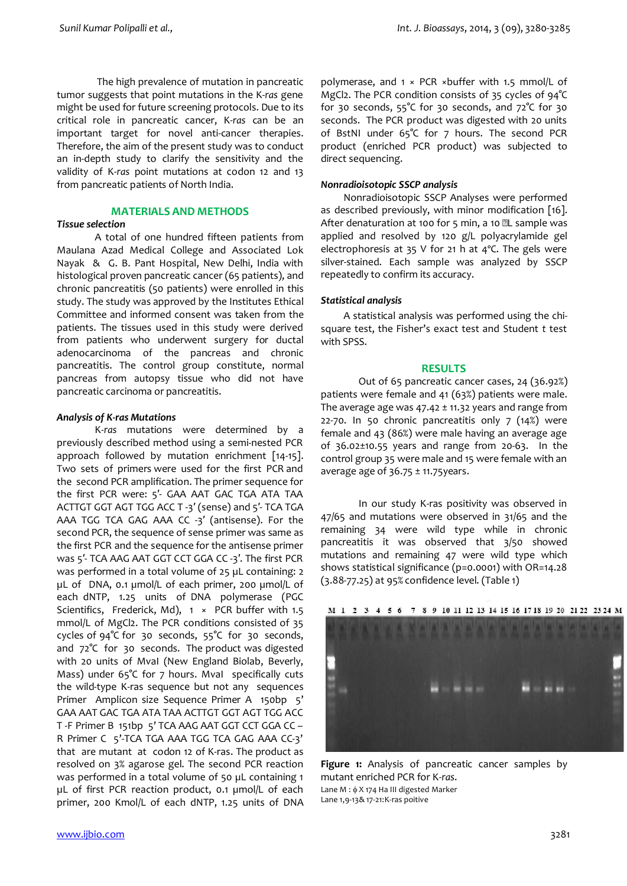The high prevalence of mutation in pancreatic tumor suggests that point mutations in the K-*ras* gene might be used for future screening protocols. Due to its critical role in pancreatic cancer, K-*ras* can be an important target for novel anti-cancer therapies. Therefore, the aim of the present study was to conduct an in-depth study to clarify the sensitivity and the validity of K-*ras* point mutations at codon 12 and 13 from pancreatic patients of North India.

# **MATERIALS AND METHODS**

### *Tissue selection*

A total of one hundred fifteen patients from Maulana Azad Medical College and Associated Lok Nayak & G. B. Pant Hospital, New Delhi, India with histological proven pancreatic cancer (65 patients), and chronic pancreatitis (50 patients) were enrolled in this study. The study was approved by the Institutes Ethical Committee and informed consent was taken from the patients. The tissues used in this study were derived from patients who underwent surgery for ductal adenocarcinoma of the pancreas and chronic pancreatitis. The control group constitute, normal pancreas from autopsy tissue who did not have pancreatic carcinoma or pancreatitis.

### *Analysis of K-ras Mutations*

K*-ras* mutations were determined by a previously described method using a semi-nested PCR approach followed by mutation enrichment [14-15]. Two sets of primers were used for the first PCR and the second PCR amplification. The primer sequence for the first PCR were: 5′- GAA AAT GAC TGA ATA TAA ACTTGT GGT AGT TGG ACC T -3′ (sense) and 5′- TCA TGA AAA TGG TCA GAG AAA CC -3′ (antisense). For the second PCR, the sequence of sense primer was same as the first PCR and the sequence for the antisense primer was 5′- TCA AAG AAT GGT CCT GGA CC -3′. The first PCR was performed in a total volume of 25 µL containing: 2 µL of DNA, 0.1 µmol/L of each primer, 200 µmol/L of each dNTP, 1.25 units of DNA polymerase (PGC Scientifics, Frederick, Md),  $1 \times PCR$  buffer with 1.5 mmol/L of MgCl2. The PCR conditions consisted of 35 cycles of 94°C for 30 seconds, 55°C for 30 seconds, and 72°C for 30 seconds. The product was digested with 20 units of MvaI (New England Biolab, Beverly, Mass) under 65°C for 7 hours. Mval specifically cuts the wild-type K-ras sequence but not any sequences Primer Amplicon size Sequence Primer A 150bp 5' GAA AAT GAC TGA ATA TAA ACTTGT GGT AGT TGG ACC T -F Primer B 151bp 5' TCA AAG AAT GGT CCT GGA CC – R Primer C 5'-TCA TGA AAA TGG TCA GAG AAA CC-3' that are mutant at codon 12 of K-ras. The product as resolved on 3% agarose gel. The second PCR reaction was performed in a total volume of 50 µL containing 1 µL of first PCR reaction product, 0.1 µmol/L of each primer, 200 Kmol/L of each dNTP, 1.25 units of DNA

polymerase, and 1 × PCR ×buffer with 1.5 mmol/L of MgCl2. The PCR condition consists of 35 cycles of 94°C for 30 seconds, 55°C for 30 seconds, and 72°C for 30 seconds. The PCR product was digested with 20 units of BstNI under 65°C for 7 hours. The second PCR product (enriched PCR product) was subjected to direct sequencing.

### *Nonradioisotopic SSCP analysis*

Nonradioisotopic SSCP Analyses were performed as described previously, with minor modification [16]. After denaturation at 100 for 5 min, a 10  $2L$  sample was applied and resolved by 120 g/L polyacrylamide gel electrophoresis at 35 V for 21 h at 4ºC. The gels were silver-stained. Each sample was analyzed by SSCP repeatedly to confirm its accuracy.

# *Statistical analysis*

A statistical analysis was performed using the chisquare test, the Fisher's exact test and Student *t* test with SPSS.

### **RESULTS**

Out of 65 pancreatic cancer cases, 24 (36.92%) patients were female and 41 (63%) patients were male. The average age was  $47.42 \pm 11.32$  years and range from 22-70. In 50 chronic pancreatitis only  $7$  (14%) were female and 43 (86%) were male having an average age of 36.02±10.55 years and range from 20-63. In the control group 35 were male and 15 were female with an average age of  $36.75 \pm 11.75$ years.

In our study K-ras positivity was observed in 47/65 and mutations were observed in 31/65 and the remaining 34 were wild type while in chronic pancreatitis it was observed that 3/50 showed mutations and remaining 47 were wild type which shows statistical significance (p=0.0001) with OR=14.28 (3.88-77.25) at 95% confidence level. (Table 1)



**Figure 1:** Analysis of pancreatic cancer samples by mutant enriched PCR for K*-ras*. Lane  $M : \phi X$  174 Ha III digested Marker Lane 1,9-13& 17-21:K-ras poitive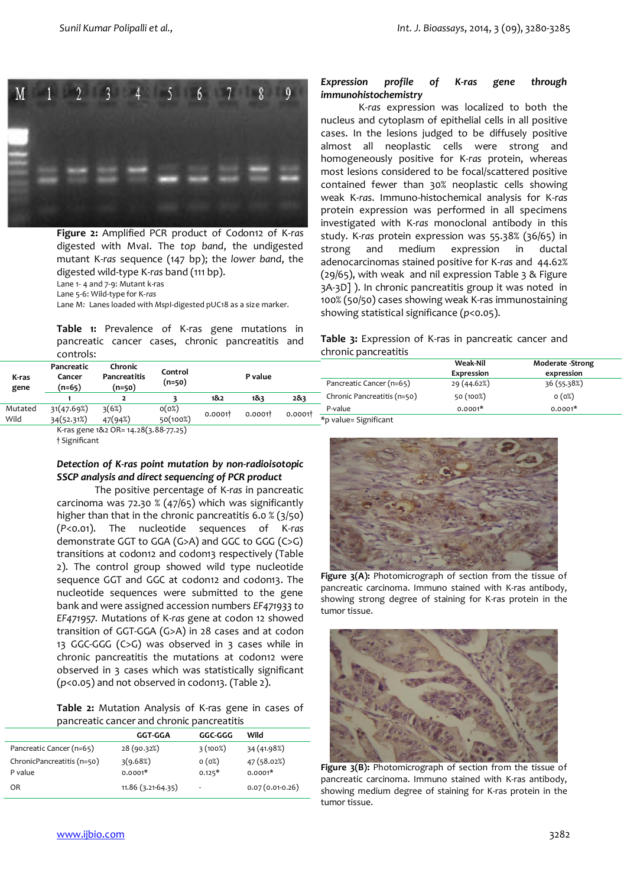

**Figure 2:** Amplified PCR product of Codon12 of K*-ras* digested with MvaI. The *top band*, the undigested mutant K-*ras* sequence (147 bp); the *lower band*, the digested wild-type K-*ras* band (111 bp). Lane 1- 4 and 7-9: Mutant k-ras Lane 5-6: Wild-type for K-*ras*

Lane M*:* Lanes loaded with *Msp*I-digested pUC18 as a size marker.

**Table 1:** Prevalence of K-ras gene mutations in pancreatic cancer cases, chronic pancreatitis and controls:

# *Expression profile of K-ras gene through immunohistochemistry*

K-*ras* expression was localized to both the nucleus and cytoplasm of epithelial cells in all positive cases. In the lesions judged to be diffusely positive almost all neoplastic cells were strong and homogeneously positive for K-*ras* protein, whereas most lesions considered to be focal/scattered positive contained fewer than 30% neoplastic cells showing weak K-*ras*. Immuno-histochemical analysis for K-*ras* protein expression was performed in all specimens investigated with K-*ras* monoclonal antibody in this study. K-*ras* protein expression was 55.38% (36/65) in strong and medium expression in ductal adenocarcinomas stained positive for K-*ras* and 44.62% (29/65), with weak and nil expression Table 3 & Figure 3A-3D] ). In chronic pancreatitis group it was noted in 100% (50/50) cases showing weak K-ras immunostaining showing statistical significance (*p*<0.05).

**Table 3:** Expression of K-ras in pancreatic cancer and chronic pancreatitis

| K-ras   | Pancreatic<br>Cancer<br>$(n=65)$ | Chronic<br>Pancreatitis<br>(n=50) | Control<br>(n=50) | P value          |        |         |                             | <b>Weak-Nil</b><br>Expression | Moderate -Strong<br>expression |
|---------|----------------------------------|-----------------------------------|-------------------|------------------|--------|---------|-----------------------------|-------------------------------|--------------------------------|
| gene    |                                  |                                   |                   |                  |        |         | Pancreatic Cancer (n=65)    | 29 (44.62%)                   | 36 (55.38%)                    |
|         |                                  |                                   |                   | 1&2              | 183    | 283     | Chronic Pancreatitis (n=50) | 50(100%)                      | 0(0%)                          |
| Mutated | 31(47.69%)                       | 3(6%)                             | o(o%)             | 0.0001<br>0.0001 | 0.0001 | P-value | $0.0001*$                   | $0.0001*$                     |                                |
| Wild    | 34(52.31%)                       | 47(94%)                           | 50(100%)          |                  |        |         | *p value= Significant       |                               |                                |

K-ras gene 1&2 OR= 14.28(3.88-77.25) † Significant

# *Detection of K-ras point mutation by non-radioisotopic SSCP analysis and direct sequencing of PCR product*

The positive percentage of K-*ras* in pancreatic carcinoma was 72.30 % (47/65) which was significantly higher than that in the chronic pancreatitis 6.0 % (3/50) (*P*<0.01). The nucleotide sequences of K-*ras* demonstrate GGT to GGA (G>A) and GGC to GGG (C>G) transitions at codon12 and codon13 respectively (Table 2). The control group showed wild type nucleotide sequence GGT and GGC at codon12 and codon13. The nucleotide sequences were submitted to the gene bank and were assigned accession numbers *EF471933 to EF471957.* Mutations of K-*ras* gene at codon 12 showed transition of GGT-GGA (G>A) in 28 cases and at codon 13 GGC-GGG (C>G) was observed in 3 cases while in chronic pancreatitis the mutations at codon12 were observed in 3 cases which was statistically significant (*p*<0.05) and not observed in codon13. (Table 2).

**Table 2:** Mutation Analysis of K-ras gene in cases of pancreatic cancer and chronic pancreatitis

|                            | <b>GGT-GGA</b>      | GGC-GGG  | Wild              |
|----------------------------|---------------------|----------|-------------------|
| Pancreatic Cancer (n=65)   | 28 (90.32%)         | 3(100%)  | 34 (41.98%)       |
| ChronicPancreatitis (n=50) | 3(9.68%)            | 0(0%)    | 47 (58.02%)       |
| P value                    | $0.0001*$           | $0.125*$ | $0.0001*$         |
| OR                         | $11.86(3.21-64.35)$ | ٠        | $0.07(0.01-0.26)$ |
|                            |                     |          |                   |





Figure 3(A): Photomicrograph of section from the tissue of pancreatic carcinoma. Immuno stained with K-ras antibody, showing strong degree of staining for K-ras protein in the tumor tissue.



**Figure 3(B):** Photomicrograph of section from the tissue of pancreatic carcinoma. Immuno stained with K-ras antibody, showing medium degree of staining for K-ras protein in the tumor tissue.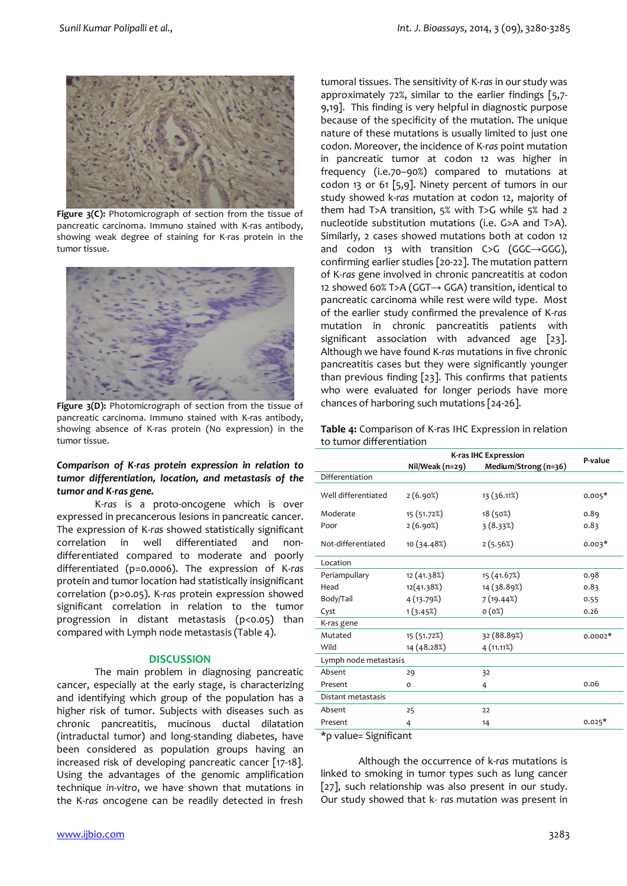

Figure 3(C): Photomicrograph of section from the tissue of pancreatic carcinoma. Immuno stained with K-ras antibody, showing weak degree of staining for K-ras protein in the tumor tissue.



Figure 3(D): Photomicrograph of section from the tissue of pancreatic carcinoma. Immuno stained with K-ras antibody, showing absence of K-ras protein (No expression) in the tumor tissue.

# *Comparison of K-ras protein expression in relation to tumor differentiation, location, and metastasis of the tumor and K-ras gene.*

K-*ras* is a proto-oncogene which is over expressed in precancerous lesions in pancreatic cancer. The expression of K-*ras* showed statistically significant correlation in well differentiated and nondifferentiated compared to moderate and poorly differentiated (p=0.0006). The expression of K-*ras* protein and tumor location had statistically insignificant correlation (p>0.05). K-*ras* protein expression showed significant correlation in relation to the tumor progression in distant metastasis (p<0.05) than compared with Lymph node metastasis (Table 4).

#### **DISCUSSION**

The main problem in diagnosing pancreatic cancer, especially at the early stage, is characterizing and identifying which group of the population has a higher risk of tumor. Subjects with diseases such as chronic pancreatitis, mucinous ductal dilatation (intraductal tumor) and long-standing diabetes, have been considered as population groups having an increased risk of developing pancreatic cancer [17-18]. Using the advantages of the genomic amplification technique *in-vitro*, we have shown that mutations in the K-*ras* oncogene can be readily detected in fresh

tumoral tissues. The sensitivity of K-*ras* in our study was approximately 72%, similar to the earlier findings [5,7- 9,19]. This finding is very helpful in diagnostic purpose because of the specificity of the mutation. The unique nature of these mutations is usually limited to just one codon. Moreover, the incidence of K-*ras* point mutation in pancreatic tumor at codon 12 was higher in frequency (i.e.70–90%) compared to mutations at codon 13 or 61 [5,9]. Ninety percent of tumors in our study showed k-*ras* mutation at codon 12, majority of them had T>A transition, 5% with T>G while 5% had 2 nucleotide substitution mutations (i.e. G>A and T>A). Similarly, 2 cases showed mutations both at codon 12 and codon 13 with transition  $C>G$  (GGC $\rightarrow$ GGG), confirming earlier studies [20-22]. The mutation pattern of K-*ras* gene involved in chronic pancreatitis at codon 12 showed 60% T>A (GGT→ GGA) transition, identical to pancreatic carcinoma while rest were wild type. Most of the earlier study confirmed the prevalence of K-*ras* mutation in chronic pancreatitis patients with significant association with advanced age [23]. Although we have found K-*ras* mutations in five chronic pancreatitis cases but they were significantly younger than previous finding [23]. This confirms that patients who were evaluated for longer periods have more chances of harboring such mutations [24-26].

**Table 4:** Comparison of K-ras IHC Expression in relation to tumor differentiation

|                       | K-ras IHC Expression | P-value              |           |  |  |  |
|-----------------------|----------------------|----------------------|-----------|--|--|--|
|                       | Nil/Weak (n=29)      | Medium/Strong (n=36) |           |  |  |  |
| Differentiation       |                      |                      |           |  |  |  |
| Well differentiated   | 2(6.90%)             | 13 (36.11%)          | $0.005*$  |  |  |  |
| Moderate              | 15 (51.72%)          | 18 (50%)             | 0.89      |  |  |  |
| Poor                  | 2(6.90%)             | 3(8.33%)             | 0.83      |  |  |  |
| Not-differentiated    | 10 (34.48%)          | 2(5.56%)             | $0.003*$  |  |  |  |
| Location              |                      |                      |           |  |  |  |
| Periampullary         | 12 (41.38%)          | 15 (41.67%)          | 0.98      |  |  |  |
| Head                  | 12(41.38%)           | 14 (38.89%)          | 0.83      |  |  |  |
| Body/Tail             | 4 (13.79%)           | 7(19.44%)            | 0.55      |  |  |  |
| Cyst                  | 1(3.45%)             | o(0%)                | 0.26      |  |  |  |
| K-ras gene            |                      |                      |           |  |  |  |
| Mutated               | 15 (51.72%)          | 32 (88.89%)          | $0.0002*$ |  |  |  |
| Wild                  | 14 (48.28%)          | 4(11.11%)            |           |  |  |  |
| Lymph node metastasis |                      |                      |           |  |  |  |
| Absent                | 29                   | 32                   |           |  |  |  |
| Present               | $\Omega$             | 4                    | 0.06      |  |  |  |
| Distant metastasis    |                      |                      |           |  |  |  |
| Absent                | 25                   | 22                   |           |  |  |  |
| Present               | 4                    | 14                   | $0.025*$  |  |  |  |
| *p value= Significant |                      |                      |           |  |  |  |

Although the occurrence of k-*ras* mutations is linked to smoking in tumor types such as lung cancer [27], such relationship was also present in our study. Our study showed that k- *ras* mutation was present in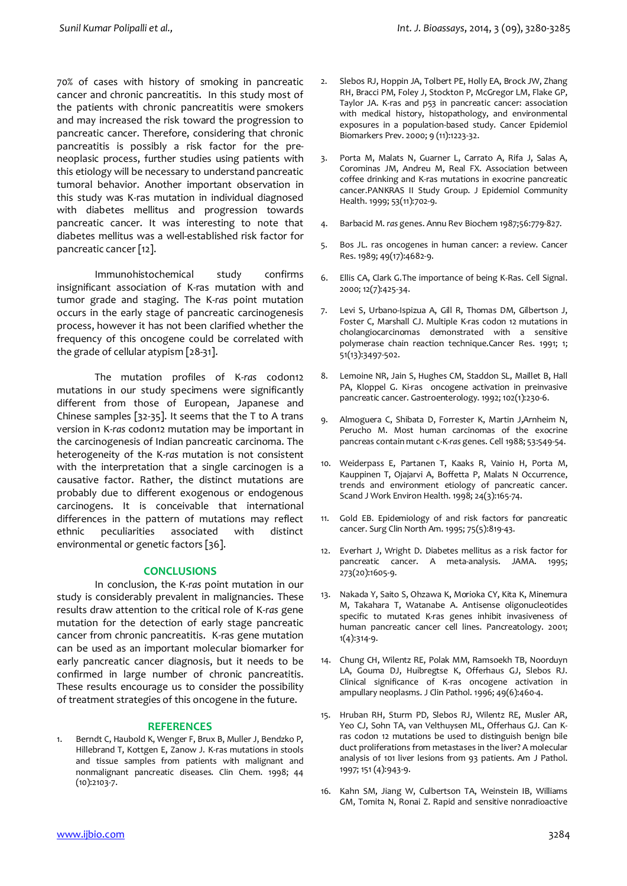70% of cases with history of smoking in pancreatic cancer and chronic pancreatitis. In this study most of the patients with chronic pancreatitis were smokers and may increased the risk toward the progression to pancreatic cancer. Therefore, considering that chronic pancreatitis is possibly a risk factor for the preneoplasic process, further studies using patients with this etiology will be necessary to understand pancreatic tumoral behavior. Another important observation in this study was K-ras mutation in individual diagnosed with diabetes mellitus and progression towards pancreatic cancer. It was interesting to note that diabetes mellitus was a well-established risk factor for pancreatic cancer [12].

Immunohistochemical study confirms insignificant association of K-ras mutation with and tumor grade and staging. The K-*ras* point mutation occurs in the early stage of pancreatic carcinogenesis process, however it has not been clarified whether the frequency of this oncogene could be correlated with the grade of cellular atypism [28-31].

The mutation profiles of K-*ras* codon12 mutations in our study specimens were significantly different from those of European, Japanese and Chinese samples [32-35]. It seems that the T to A trans version in K-*ras* codon12 mutation may be important in the carcinogenesis of Indian pancreatic carcinoma. The heterogeneity of the K-*ras* mutation is not consistent with the interpretation that a single carcinogen is a causative factor. Rather, the distinct mutations are probably due to different exogenous or endogenous carcinogens. It is conceivable that international differences in the pattern of mutations may reflect ethnic peculiarities associated with distinct environmental or genetic factors [36].

# **CONCLUSIONS**

In conclusion, the K-*ras* point mutation in our study is considerably prevalent in malignancies. These results draw attention to the critical role of K-*ras* gene mutation for the detection of early stage pancreatic cancer from chronic pancreatitis. K-ras gene mutation can be used as an important molecular biomarker for early pancreatic cancer diagnosis, but it needs to be confirmed in large number of chronic pancreatitis. These results encourage us to consider the possibility of treatment strategies of this oncogene in the future.

### **REFERENCES**

1. Berndt C, Haubold K, Wenger F, Brux B, Muller J, Bendzko P, Hillebrand T, Kottgen E, Zanow J. K-ras mutations in stools and tissue samples from patients with malignant and nonmalignant pancreatic diseases. Clin Chem. 1998; 44 (10):2103-7.

- Slebos RJ, Hoppin JA, Tolbert PE, Holly EA, Brock JW, Zhang RH, Bracci PM, Foley J, Stockton P, McGregor LM, Flake GP, Taylor JA. K-ras and p53 in pancreatic cancer: association with medical history, histopathology, and environmental exposures in a population-based study. Cancer Epidemiol Biomarkers Prev. 2000; 9 (11):1223-32.
- 3. Porta M, Malats N, Guarner L, Carrato A, Rifa J, Salas A, Corominas JM, Andreu M, Real FX. Association between coffee drinking and K-ras mutations in exocrine pancreatic cancer.PANKRAS II Study Group. J Epidemiol Community Health. 1999; 53(11):702-9.
- 4. Barbacid M. *ras* genes. Annu Rev Biochem 1987;56:779-827.
- 5. Bos JL. ras oncogenes in human cancer: a review. Cancer Res. 1989; 49(17):4682-9.
- 6. Ellis CA, Clark G.The importance of being K-Ras. Cell Signal. 2000; 12(7):425-34.
- 7. Levi S, Urbano-Ispizua A, Gill R, Thomas DM, Gilbertson J, Foster C, Marshall CJ. Multiple K-ras codon 12 mutations in cholangiocarcinomas demonstrated with a sensitive polymerase chain reaction technique.Cancer Res. 1991; 1; 51(13):3497-502.
- 8. Lemoine NR, Jain S, Hughes CM, Staddon SL, Maillet B, Hall PA, Kloppel G. Ki-ras oncogene activation in preinvasive pancreatic cancer. Gastroenterology. 1992; 102(1):230-6.
- 9. Almoguera C, Shibata D, Forrester K, Martin J,Arnheim N, Perucho M. Most human carcinomas of the exocrine pancreas contain mutant c-K-*ras* genes. Cell 1988; 53:549-54.
- 10. Weiderpass E, Partanen T, Kaaks R, Vainio H, Porta M, Kauppinen T, Ojajarvi A, Boffetta P, Malats N Occurrence, trends and environment etiology of pancreatic cancer. Scand J Work Environ Health. 1998; 24(3):165-74.
- 11. Gold EB. Epidemiology of and risk factors for pancreatic cancer. Surg Clin North Am. 1995; 75(5):819-43.
- 12. Everhart J, Wright D. Diabetes mellitus as a risk factor for pancreatic cancer. A meta-analysis. JAMA. 1995; 273(20):1605-9.
- 13. Nakada Y, Saito S, Ohzawa K, Morioka CY, Kita K, Minemura M, Takahara T, Watanabe A. Antisense oligonucleotides specific to mutated K-ras genes inhibit invasiveness of human pancreatic cancer cell lines. Pancreatology. 2001; 1(4):314-9.
- 14. Chung CH, Wilentz RE, Polak MM, Ramsoekh TB, Noorduyn LA, Gouma DJ, Huibregtse K, Offerhaus GJ, Slebos RJ. Clinical significance of K-ras oncogene activation in ampullary neoplasms. J Clin Pathol. 1996; 49(6):460-4.
- 15. Hruban RH, Sturm PD, Slebos RJ, Wilentz RE, Musler AR, Yeo CJ, Sohn TA, van Velthuysen ML, Offerhaus GJ. Can Kras codon 12 mutations be used to distinguish benign bile duct proliferations from metastases in the liver? A molecular analysis of 101 liver lesions from 93 patients. Am J Pathol. 1997; 151 (4):943-9.
- 16. Kahn SM, Jiang W, Culbertson TA, Weinstein IB, Williams GM, Tomita N, Ronai Z. Rapid and sensitive nonradioactive